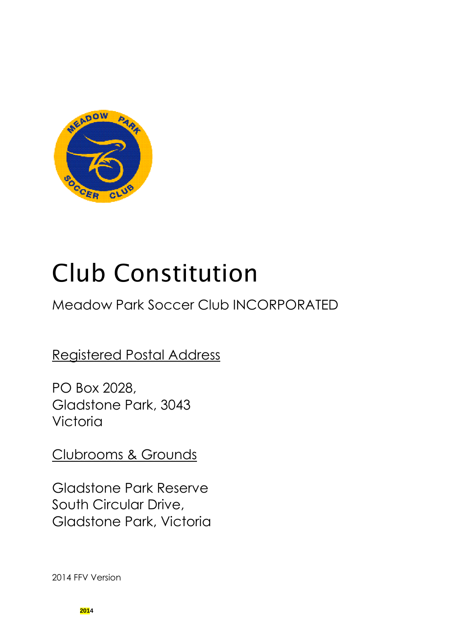

# Club Constitution

## Meadow Park Soccer Club INCORPORATED

## Registered Postal Address

PO Box 2028, Gladstone Park, 3043 Victoria

Clubrooms & Grounds

Gladstone Park Reserve South Circular Drive, Gladstone Park, Victoria

2014 FFV Version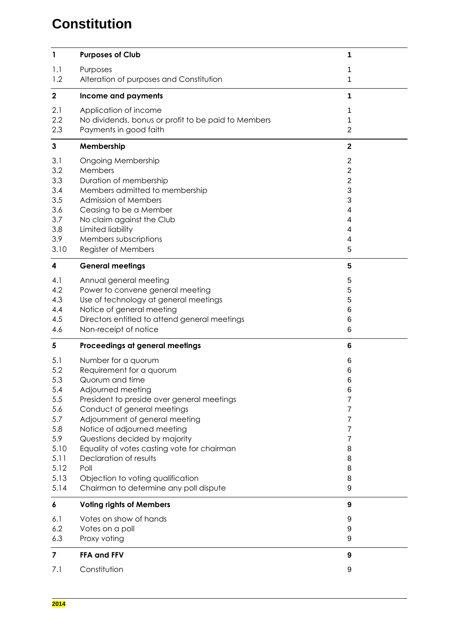## **Constitution**

| 1                                                                                                   | <b>Purposes of Club</b>                                                                                                                                                                                                                                                                                                                                                                                                                | 1                                                                                  |
|-----------------------------------------------------------------------------------------------------|----------------------------------------------------------------------------------------------------------------------------------------------------------------------------------------------------------------------------------------------------------------------------------------------------------------------------------------------------------------------------------------------------------------------------------------|------------------------------------------------------------------------------------|
| 1.1<br>1.2                                                                                          | Purposes<br>Alteration of purposes and Constitution                                                                                                                                                                                                                                                                                                                                                                                    | 1<br>1                                                                             |
| $\mathbf 2$                                                                                         | Income and payments                                                                                                                                                                                                                                                                                                                                                                                                                    | 1                                                                                  |
| 2.1<br>2.2<br>2.3                                                                                   | Application of income<br>No dividends, bonus or profit to be paid to Members<br>Payments in good faith                                                                                                                                                                                                                                                                                                                                 | 1<br>1<br>$\overline{2}$                                                           |
| $\mathbf{3}$                                                                                        | Membership                                                                                                                                                                                                                                                                                                                                                                                                                             | $\mathbf{2}$                                                                       |
| 3.1<br>3.2<br>3.3<br>3.4<br>3.5<br>3.6<br>3.7<br>3.8<br>3.9<br>3.10                                 | <b>Ongoing Membership</b><br>Members<br>Duration of membership<br>Members admitted to membership<br>Admission of Members<br>Ceasing to be a Member<br>No claim against the Club<br>Limited liability<br>Members subscriptions<br>Register of Members                                                                                                                                                                                   | $\overline{2}$<br>$\overline{c}$<br>$\mathbf 2$<br>3<br>3<br>4<br>4<br>4<br>4<br>5 |
| 4                                                                                                   | <b>General meetings</b>                                                                                                                                                                                                                                                                                                                                                                                                                | 5                                                                                  |
| 4.1<br>4.2<br>4.3<br>4.4<br>4.5<br>4.6                                                              | Annual general meeting<br>Power to convene general meeting<br>Use of technology at general meetings<br>Notice of general meeting<br>Directors entitled to attend general meetings<br>Non-receipt of notice                                                                                                                                                                                                                             | 5<br>5<br>5<br>6<br>6<br>6                                                         |
| 5                                                                                                   | Proceedings at general meetings                                                                                                                                                                                                                                                                                                                                                                                                        | 6                                                                                  |
| 5.1<br>5.2<br>5.3<br>5.4<br>5.5<br>5.6<br>5.7<br>5.8<br>5.9<br>5.10<br>5.11<br>5.12<br>5.13<br>5.14 | Number for a quorum<br>Requirement for a quorum<br>Quorum and time<br>Adjourned meeting<br>President to preside over general meetings<br>Conduct of general meetings<br>Adjournment of general meeting<br>Notice of adjourned meeting<br>Questions decided by majority<br>Equality of votes casting vote for chairman<br>Declaration of results<br>Poll<br>Objection to voting qualification<br>Chairman to determine any poll dispute | 6<br>6<br>6<br>6<br>7<br>7<br>7<br>7<br>7<br>8<br>8<br>8<br>8<br>9                 |
| 6                                                                                                   | <b>Voting rights of Members</b>                                                                                                                                                                                                                                                                                                                                                                                                        | 9                                                                                  |
| 6.1<br>6.2<br>6.3                                                                                   | Votes on show of hands<br>Votes on a poll<br>Proxy voting                                                                                                                                                                                                                                                                                                                                                                              | 9<br>9<br>9                                                                        |
| 7                                                                                                   | <b>FFA and FFV</b>                                                                                                                                                                                                                                                                                                                                                                                                                     | 9                                                                                  |
| 7.1                                                                                                 | Constitution                                                                                                                                                                                                                                                                                                                                                                                                                           | 9                                                                                  |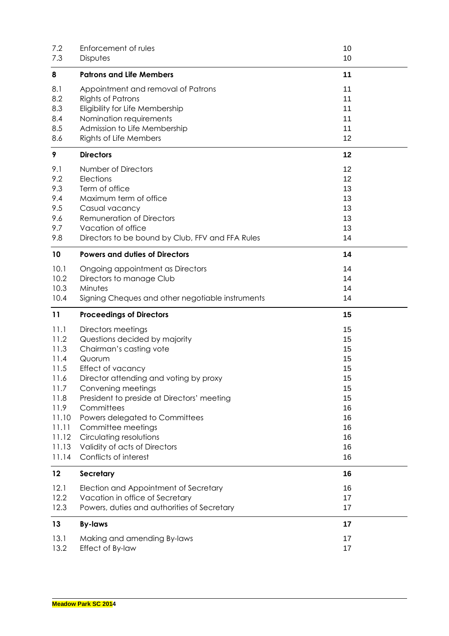| 7.2<br>7.3                                                                                                        | Enforcement of rules<br><b>Disputes</b>                                                                                                                                                                                                                                                                                                                       | 10<br>10                                                                   |
|-------------------------------------------------------------------------------------------------------------------|---------------------------------------------------------------------------------------------------------------------------------------------------------------------------------------------------------------------------------------------------------------------------------------------------------------------------------------------------------------|----------------------------------------------------------------------------|
| 8                                                                                                                 | <b>Patrons and Life Members</b>                                                                                                                                                                                                                                                                                                                               | 11                                                                         |
| 8.1<br>8.2<br>8.3<br>8.4<br>8.5<br>8.6                                                                            | Appointment and removal of Patrons<br><b>Rights of Patrons</b><br>Eligibility for Life Membership<br>Nomination requirements<br>Admission to Life Membership<br>Rights of Life Members                                                                                                                                                                        | 11<br>11<br>11<br>11<br>11<br>12                                           |
|                                                                                                                   | <b>Directors</b>                                                                                                                                                                                                                                                                                                                                              |                                                                            |
| 9                                                                                                                 |                                                                                                                                                                                                                                                                                                                                                               | 12                                                                         |
| 9.1<br>9.2<br>9.3<br>9.4<br>9.5<br>9.6<br>9.7                                                                     | Number of Directors<br>Elections<br>Term of office<br>Maximum term of office<br>Casual vacancy<br><b>Remuneration of Directors</b><br>Vacation of office                                                                                                                                                                                                      | 12<br>12<br>13<br>13<br>13<br>13<br>13                                     |
| 9.8                                                                                                               | Directors to be bound by Club, FFV and FFA Rules                                                                                                                                                                                                                                                                                                              | 14                                                                         |
| 10                                                                                                                | <b>Powers and duties of Directors</b>                                                                                                                                                                                                                                                                                                                         | 14                                                                         |
| 10.1<br>10.2<br>10.3<br>10.4                                                                                      | Ongoing appointment as Directors<br>Directors to manage Club<br>Minutes<br>Signing Cheques and other negotiable instruments                                                                                                                                                                                                                                   | 14<br>14<br>14<br>14                                                       |
| 11                                                                                                                | <b>Proceedings of Directors</b>                                                                                                                                                                                                                                                                                                                               | 15                                                                         |
| 11.1<br>11.2<br>11.3<br>11.4<br>11.5<br>11.6<br>11.7<br>11.8<br>11.9<br>11.10<br>11.11<br>11.12<br>11.13<br>11.14 | Directors meetings<br>Questions decided by majority<br>Chairman's casting vote<br>Quorum<br>Effect of vacancy<br>Director attending and voting by proxy<br>Convening meetings<br>President to preside at Directors' meeting<br>Committees<br>Powers delegated to Committees<br>Committee meetings<br>Circulating resolutions<br>Validity of acts of Directors | 15<br>15<br>15<br>15<br>15<br>15<br>15<br>15<br>16<br>16<br>16<br>16<br>16 |
| 12                                                                                                                | Conflicts of interest<br><b>Secretary</b>                                                                                                                                                                                                                                                                                                                     | 16<br>16                                                                   |
| 12.1                                                                                                              | Election and Appointment of Secretary                                                                                                                                                                                                                                                                                                                         | 16                                                                         |
| 12.2<br>12.3                                                                                                      | Vacation in office of Secretary<br>Powers, duties and authorities of Secretary                                                                                                                                                                                                                                                                                | 17<br>17                                                                   |
| 13                                                                                                                | <b>By-laws</b>                                                                                                                                                                                                                                                                                                                                                | 17                                                                         |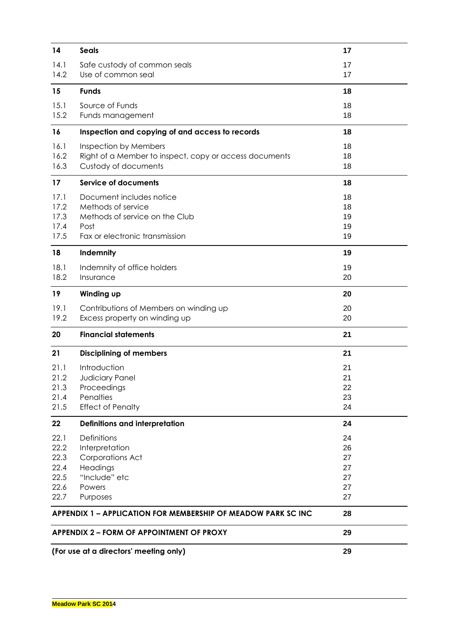| 14   | <b>Seals</b>                                                         | 17 |  |
|------|----------------------------------------------------------------------|----|--|
| 14.1 | Safe custody of common seals                                         | 17 |  |
| 14.2 | Use of common seal                                                   | 17 |  |
| 15   | <b>Funds</b>                                                         | 18 |  |
| 15.1 | Source of Funds                                                      | 18 |  |
| 15.2 | Funds management                                                     | 18 |  |
| 16   | Inspection and copying of and access to records                      | 18 |  |
| 16.1 | Inspection by Members                                                | 18 |  |
| 16.2 | Right of a Member to inspect, copy or access documents               | 18 |  |
| 16.3 | Custody of documents                                                 | 18 |  |
| 17   | <b>Service of documents</b>                                          | 18 |  |
| 17.1 | Document includes notice                                             | 18 |  |
| 17.2 | Methods of service                                                   | 18 |  |
| 17.3 | Methods of service on the Club                                       | 19 |  |
| 17.4 | Post                                                                 | 19 |  |
| 17.5 | Fax or electronic transmission                                       | 19 |  |
| 18   | Indemnity                                                            | 19 |  |
| 18.1 | Indemnity of office holders                                          | 19 |  |
| 18.2 | Insurance                                                            | 20 |  |
| 19   | Winding up                                                           | 20 |  |
| 19.1 | Contributions of Members on winding up                               | 20 |  |
| 19.2 | Excess property on winding up                                        | 20 |  |
| 20   | <b>Financial statements</b>                                          | 21 |  |
| 21   | <b>Disciplining of members</b>                                       | 21 |  |
| 21.1 | Introduction                                                         | 21 |  |
| 21.2 | Judiciary Panel                                                      | 21 |  |
| 21.3 | Proceedings                                                          | 22 |  |
| 21.4 | Penalties                                                            | 23 |  |
| 21.5 | <b>Effect of Penalty</b>                                             | 24 |  |
| 22   | Definitions and interpretation                                       | 24 |  |
| 22.1 | <b>Definitions</b>                                                   | 24 |  |
| 22.2 | Interpretation                                                       | 26 |  |
| 22.3 | <b>Corporations Act</b>                                              | 27 |  |
| 22.4 | Headings                                                             | 27 |  |
| 22.5 | "Include" etc                                                        | 27 |  |
| 22.6 | Powers                                                               | 27 |  |
| 22.7 | Purposes                                                             | 27 |  |
|      | <b>APPENDIX 1 – APPLICATION FOR MEMBERSHIP OF MEADOW PARK SC INC</b> | 28 |  |
|      | 29<br><b>APPENDIX 2 – FORM OF APPOINTMENT OF PROXY</b>               |    |  |
|      | (For use at a directors' meeting only)                               | 29 |  |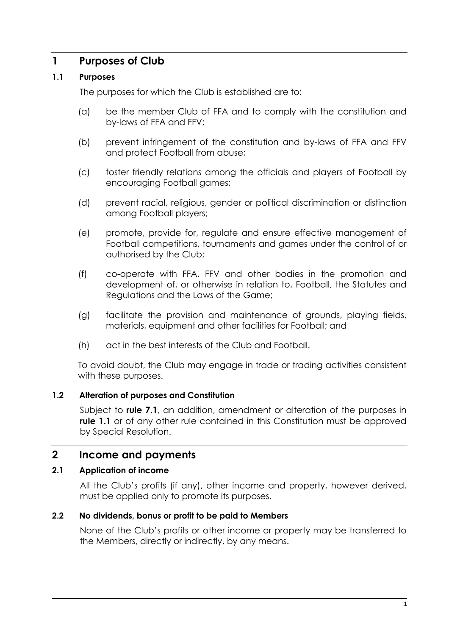## **1 Purposes of Club**

## **1.1 Purposes**

The purposes for which the Club is established are to:

- (a) be the member Club of FFA and to comply with the constitution and by-laws of FFA and FFV;
- (b) prevent infringement of the constitution and by-laws of FFA and FFV and protect Football from abuse;
- (c) foster friendly relations among the officials and players of Football by encouraging Football games;
- (d) prevent racial, religious, gender or political discrimination or distinction among Football players;
- (e) promote, provide for, regulate and ensure effective management of Football competitions, tournaments and games under the control of or authorised by the Club;
- (f) co-operate with FFA, FFV and other bodies in the promotion and development of, or otherwise in relation to, Football, the Statutes and Regulations and the Laws of the Game;
- (g) facilitate the provision and maintenance of grounds, playing fields, materials, equipment and other facilities for Football; and
- (h) act in the best interests of the Club and Football.

To avoid doubt, the Club may engage in trade or trading activities consistent with these purposes.

## **1.2 Alteration of purposes and Constitution**

Subject to **rule 7.1**, an addition, amendment or alteration of the purposes in **rule 1.1** or of any other rule contained in this Constitution must be approved by Special Resolution.

## **2 Income and payments**

## **2.1 Application of income**

All the Club's profits (if any), other income and property, however derived, must be applied only to promote its purposes.

## **2.2 No dividends, bonus or profit to be paid to Members**

None of the Club's profits or other income or property may be transferred to the Members, directly or indirectly, by any means.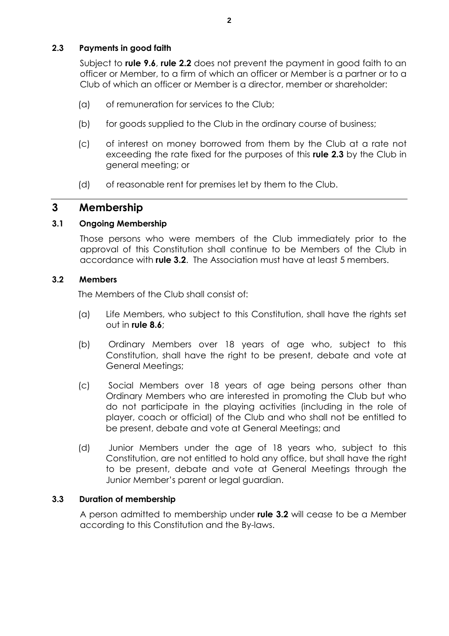## **2.3 Payments in good faith**

Subject to **rule 9.6**, **rule 2.2** does not prevent the payment in good faith to an officer or Member, to a firm of which an officer or Member is a partner or to a Club of which an officer or Member is a director, member or shareholder:

- (a) of remuneration for services to the Club;
- (b) for goods supplied to the Club in the ordinary course of business;
- (c) of interest on money borrowed from them by the Club at a rate not exceeding the rate fixed for the purposes of this **rule 2.3** by the Club in general meeting; or
- (d) of reasonable rent for premises let by them to the Club.

## **3 Membership**

## **3.1 Ongoing Membership**

Those persons who were members of the Club immediately prior to the approval of this Constitution shall continue to be Members of the Club in accordance with **rule 3.2**. The Association must have at least 5 members.

## **3.2 Members**

The Members of the Club shall consist of:

- (a) Life Members, who subject to this Constitution, shall have the rights set out in **rule 8.6**;
- (b) Ordinary Members over 18 years of age who, subject to this Constitution, shall have the right to be present, debate and vote at General Meetings;
- (c) Social Members over 18 years of age being persons other than Ordinary Members who are interested in promoting the Club but who do not participate in the playing activities (including in the role of player, coach or official) of the Club and who shall not be entitled to be present, debate and vote at General Meetings; and
- (d) Junior Members under the age of 18 years who, subject to this Constitution, are not entitled to hold any office, but shall have the right to be present, debate and vote at General Meetings through the Junior Member's parent or legal guardian.

## **3.3 Duration of membership**

A person admitted to membership under **rule 3.2** will cease to be a Member according to this Constitution and the By-laws.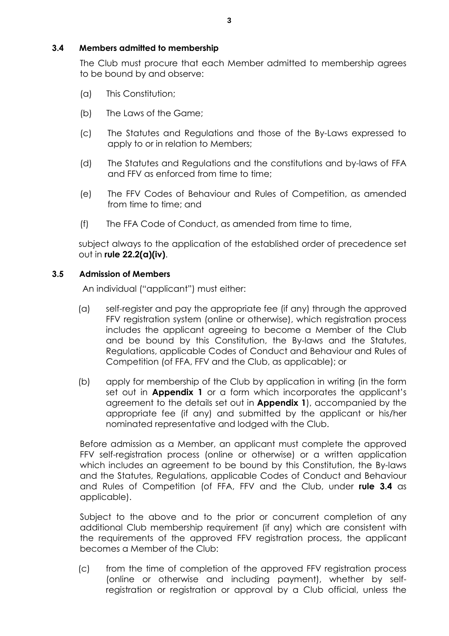## **3.4 Members admitted to membership**

The Club must procure that each Member admitted to membership agrees to be bound by and observe:

- (a) This Constitution;
- (b) The Laws of the Game;
- (c) The Statutes and Regulations and those of the By-Laws expressed to apply to or in relation to Members;
- (d) The Statutes and Regulations and the constitutions and by-laws of FFA and FFV as enforced from time to time;
- (e) The FFV Codes of Behaviour and Rules of Competition, as amended from time to time; and
- (f) The FFA Code of Conduct, as amended from time to time,

subject always to the application of the established order of precedence set out in **rule 22.2(a)(iv)**.

## **3.5 Admission of Members**

An individual ("applicant") must either:

- (a) self-register and pay the appropriate fee (if any) through the approved FFV registration system (online or otherwise), which registration process includes the applicant agreeing to become a Member of the Club and be bound by this Constitution, the By-laws and the Statutes, Regulations, applicable Codes of Conduct and Behaviour and Rules of Competition (of FFA, FFV and the Club, as applicable); or
- (b) apply for membership of the Club by application in writing (in the form set out in **Appendix 1** or a form which incorporates the applicant's agreement to the details set out in **Appendix 1**), accompanied by the appropriate fee (if any) and submitted by the applicant or his/her nominated representative and lodged with the Club.

Before admission as a Member, an applicant must complete the approved FFV self-registration process (online or otherwise) or a written application which includes an agreement to be bound by this Constitution, the By-laws and the Statutes, Regulations, applicable Codes of Conduct and Behaviour and Rules of Competition (of FFA, FFV and the Club, under **rule 3.4** as applicable).

Subject to the above and to the prior or concurrent completion of any additional Club membership requirement (if any) which are consistent with the requirements of the approved FFV registration process, the applicant becomes a Member of the Club:

(c) from the time of completion of the approved FFV registration process (online or otherwise and including payment), whether by selfregistration or registration or approval by a Club official, unless the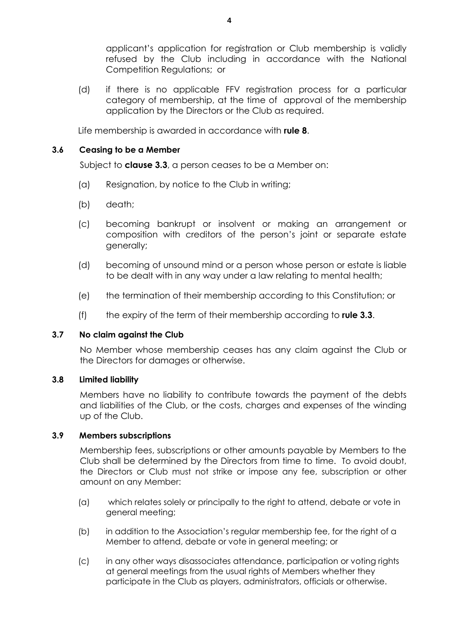applicant's application for registration or Club membership is validly refused by the Club including in accordance with the National Competition Regulations; or

(d) if there is no applicable FFV registration process for a particular category of membership, at the time of approval of the membership application by the Directors or the Club as required.

Life membership is awarded in accordance with **rule 8**.

#### **3.6 Ceasing to be a Member**

Subject to **clause 3.3**, a person ceases to be a Member on:

- (a) Resignation, by notice to the Club in writing;
- (b) death;
- (c) becoming bankrupt or insolvent or making an arrangement or composition with creditors of the person's joint or separate estate generally;
- (d) becoming of unsound mind or a person whose person or estate is liable to be dealt with in any way under a law relating to mental health;
- (e) the termination of their membership according to this Constitution; or
- (f) the expiry of the term of their membership according to **rule 3.3**.

#### **3.7 No claim against the Club**

No Member whose membership ceases has any claim against the Club or the Directors for damages or otherwise.

#### **3.8 Limited liability**

Members have no liability to contribute towards the payment of the debts and liabilities of the Club, or the costs, charges and expenses of the winding up of the Club.

#### **3.9 Members subscriptions**

Membership fees, subscriptions or other amounts payable by Members to the Club shall be determined by the Directors from time to time. To avoid doubt, the Directors or Club must not strike or impose any fee, subscription or other amount on any Member:

- (a) which relates solely or principally to the right to attend, debate or vote in general meeting;
- (b) in addition to the Association's regular membership fee, for the right of a Member to attend, debate or vote in general meeting; or
- (c) in any other ways disassociates attendance, participation or voting rights at general meetings from the usual rights of Members whether they participate in the Club as players, administrators, officials or otherwise.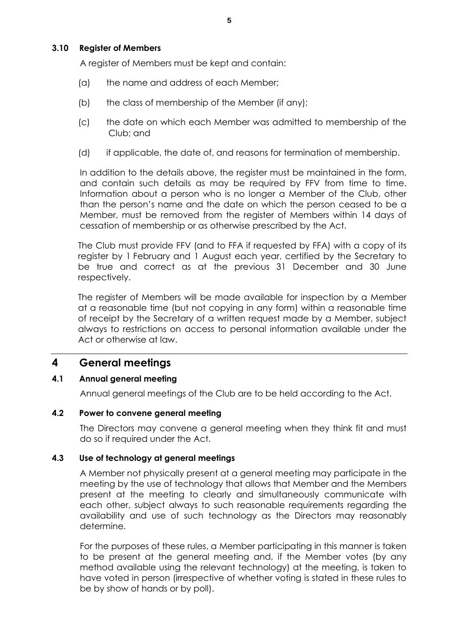A register of Members must be kept and contain:

- (a) the name and address of each Member;
- (b) the class of membership of the Member (if any);
- (c) the date on which each Member was admitted to membership of the Club; and
- (d) if applicable, the date of, and reasons for termination of membership.

In addition to the details above, the register must be maintained in the form, and contain such details as may be required by FFV from time to time. Information about a person who is no longer a Member of the Club, other than the person's name and the date on which the person ceased to be a Member, must be removed from the register of Members within 14 days of cessation of membership or as otherwise prescribed by the Act.

The Club must provide FFV (and to FFA if requested by FFA) with a copy of its register by 1 February and 1 August each year, certified by the Secretary to be true and correct as at the previous 31 December and 30 June respectively.

The register of Members will be made available for inspection by a Member at a reasonable time (but not copying in any form) within a reasonable time of receipt by the Secretary of a written request made by a Member, subject always to restrictions on access to personal information available under the Act or otherwise at law.

## **4 General meetings**

## **4.1 Annual general meeting**

Annual general meetings of the Club are to be held according to the Act.

## **4.2 Power to convene general meeting**

The Directors may convene a general meeting when they think fit and must do so if required under the Act.

## **4.3 Use of technology at general meetings**

A Member not physically present at a general meeting may participate in the meeting by the use of technology that allows that Member and the Members present at the meeting to clearly and simultaneously communicate with each other, subject always to such reasonable requirements regarding the availability and use of such technology as the Directors may reasonably determine.

For the purposes of these rules, a Member participating in this manner is taken to be present at the general meeting and, if the Member votes (by any method available using the relevant technology) at the meeting, is taken to have voted in person (irrespective of whether voting is stated in these rules to be by show of hands or by poll).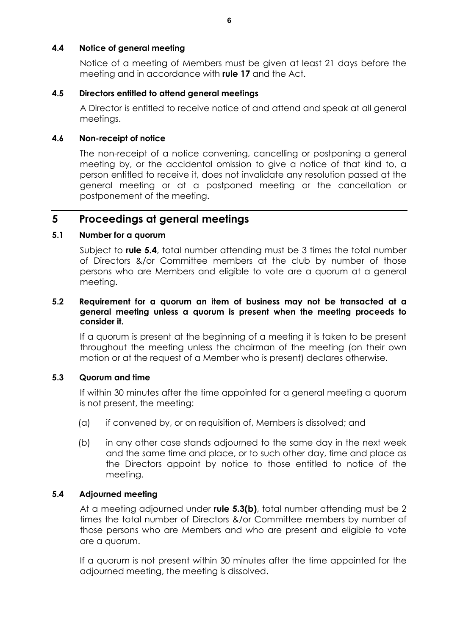## **4.4 Notice of general meeting**

Notice of a meeting of Members must be given at least 21 days before the meeting and in accordance with **rule 17** and the Act.

### **4.5 Directors entitled to attend general meetings**

A Director is entitled to receive notice of and attend and speak at all general meetings.

### **4.6 Non-receipt of notice**

The non-receipt of a notice convening, cancelling or postponing a general meeting by, or the accidental omission to give a notice of that kind to, a person entitled to receive it, does not invalidate any resolution passed at the general meeting or at a postponed meeting or the cancellation or postponement of the meeting.

## **5 Proceedings at general meetings**

#### **5.1 Number for a quorum**

Subject to **rule 5.4**, total number attending must be 3 times the total number of Directors &/or Committee members at the club by number of those persons who are Members and eligible to vote are a quorum at a general meeting.

#### **5.2 Requirement for a quorum an item of business may not be transacted at a general meeting unless a quorum is present when the meeting proceeds to consider it.**

If a quorum is present at the beginning of a meeting it is taken to be present throughout the meeting unless the chairman of the meeting (on their own motion or at the request of a Member who is present) declares otherwise.

## **5.3 Quorum and time**

If within 30 minutes after the time appointed for a general meeting a quorum is not present, the meeting:

- (a) if convened by, or on requisition of, Members is dissolved; and
- (b) in any other case stands adjourned to the same day in the next week and the same time and place, or to such other day, time and place as the Directors appoint by notice to those entitled to notice of the meeting.

#### **5.4 Adjourned meeting**

At a meeting adjourned under **rule 5.3(b)**, total number attending must be 2 times the total number of Directors &/or Committee members by number of those persons who are Members and who are present and eligible to vote are a quorum.

If a quorum is not present within 30 minutes after the time appointed for the adjourned meeting, the meeting is dissolved.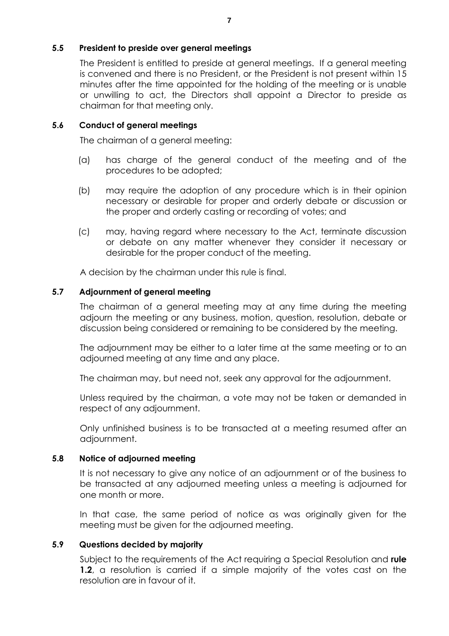## **5.5 President to preside over general meetings**

The President is entitled to preside at general meetings. If a general meeting is convened and there is no President, or the President is not present within 15 minutes after the time appointed for the holding of the meeting or is unable or unwilling to act, the Directors shall appoint a Director to preside as chairman for that meeting only.

## **5.6 Conduct of general meetings**

The chairman of a general meeting:

- (a) has charge of the general conduct of the meeting and of the procedures to be adopted;
- (b) may require the adoption of any procedure which is in their opinion necessary or desirable for proper and orderly debate or discussion or the proper and orderly casting or recording of votes; and
- (c) may, having regard where necessary to the Act, terminate discussion or debate on any matter whenever they consider it necessary or desirable for the proper conduct of the meeting.

A decision by the chairman under this rule is final.

## **5.7 Adjournment of general meeting**

The chairman of a general meeting may at any time during the meeting adjourn the meeting or any business, motion, question, resolution, debate or discussion being considered or remaining to be considered by the meeting.

The adjournment may be either to a later time at the same meeting or to an adjourned meeting at any time and any place.

The chairman may, but need not, seek any approval for the adjournment.

Unless required by the chairman, a vote may not be taken or demanded in respect of any adjournment.

Only unfinished business is to be transacted at a meeting resumed after an adjournment.

## **5.8 Notice of adjourned meeting**

It is not necessary to give any notice of an adjournment or of the business to be transacted at any adjourned meeting unless a meeting is adjourned for one month or more.

In that case, the same period of notice as was originally given for the meeting must be given for the adjourned meeting.

## **5.9 Questions decided by majority**

Subject to the requirements of the Act requiring a Special Resolution and **rule 1.2**, a resolution is carried if a simple majority of the votes cast on the resolution are in favour of it.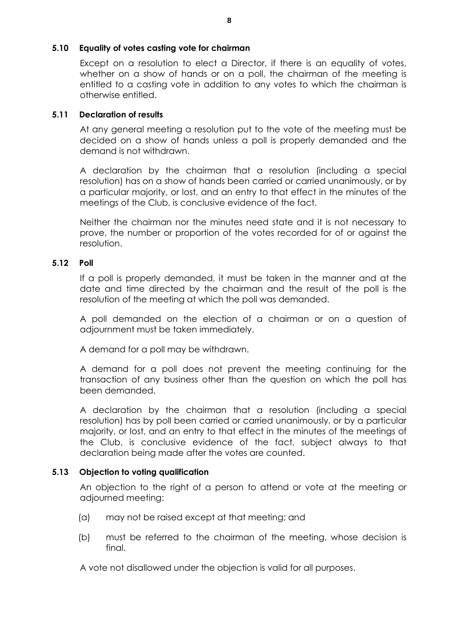## **5.10 Equality of votes casting vote for chairman**

Except on a resolution to elect a Director, if there is an equality of votes, whether on a show of hands or on a poll, the chairman of the meeting is entitled to a casting vote in addition to any votes to which the chairman is otherwise entitled.

## **5.11 Declaration of results**

At any general meeting a resolution put to the vote of the meeting must be decided on a show of hands unless a poll is properly demanded and the demand is not withdrawn.

A declaration by the chairman that a resolution (including a special resolution) has on a show of hands been carried or carried unanimously, or by a particular majority, or lost, and an entry to that effect in the minutes of the meetings of the Club, is conclusive evidence of the fact.

Neither the chairman nor the minutes need state and it is not necessary to prove, the number or proportion of the votes recorded for of or against the resolution.

## **5.12 Poll**

If a poll is properly demanded, it must be taken in the manner and at the date and time directed by the chairman and the result of the poll is the resolution of the meeting at which the poll was demanded.

A poll demanded on the election of a chairman or on a question of adjournment must be taken immediately.

A demand for a poll may be withdrawn.

A demand for a poll does not prevent the meeting continuing for the transaction of any business other than the question on which the poll has been demanded.

A declaration by the chairman that a resolution (including a special resolution) has by poll been carried or carried unanimously, or by a particular majority, or lost, and an entry to that effect in the minutes of the meetings of the Club, is conclusive evidence of the fact, subject always to that declaration being made after the votes are counted.

## **5.13 Objection to voting qualification**

An objection to the right of a person to attend or vote at the meeting or adjourned meeting:

- (a) may not be raised except at that meeting; and
- (b) must be referred to the chairman of the meeting, whose decision is final.

A vote not disallowed under the objection is valid for all purposes.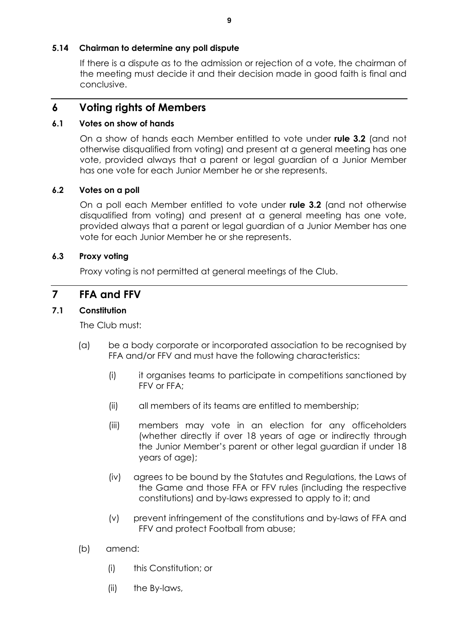## **5.14 Chairman to determine any poll dispute**

If there is a dispute as to the admission or rejection of a vote, the chairman of the meeting must decide it and their decision made in good faith is final and conclusive.

## **6 Voting rights of Members**

## **6.1 Votes on show of hands**

On a show of hands each Member entitled to vote under **rule 3.2** (and not otherwise disqualified from voting) and present at a general meeting has one vote, provided always that a parent or legal guardian of a Junior Member has one vote for each Junior Member he or she represents.

## **6.2 Votes on a poll**

On a poll each Member entitled to vote under **rule 3.2** (and not otherwise disqualified from voting) and present at a general meeting has one vote, provided always that a parent or legal guardian of a Junior Member has one vote for each Junior Member he or she represents.

## **6.3 Proxy voting**

Proxy voting is not permitted at general meetings of the Club.

## **7 FFA and FFV**

## **7.1 Constitution**

The Club must:

- (a) be a body corporate or incorporated association to be recognised by FFA and/or FFV and must have the following characteristics:
	- (i) it organises teams to participate in competitions sanctioned by FFV or FFA;
	- (ii) all members of its teams are entitled to membership;
	- (iii) members may vote in an election for any officeholders (whether directly if over 18 years of age or indirectly through the Junior Member's parent or other legal guardian if under 18 years of age);
	- (iv) agrees to be bound by the Statutes and Regulations, the Laws of the Game and those FFA or FFV rules (including the respective constitutions) and by-laws expressed to apply to it; and
	- (v) prevent infringement of the constitutions and by-laws of FFA and FFV and protect Football from abuse;
- (b) amend:
	- (i) this Constitution; or
	- (ii) the By-laws,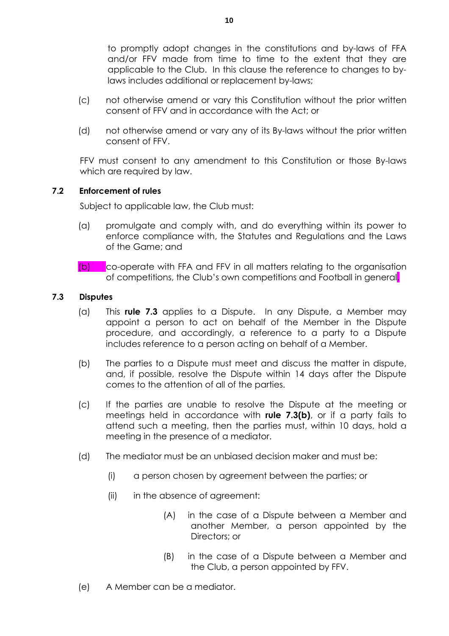to promptly adopt changes in the constitutions and by-laws of FFA and/or FFV made from time to time to the extent that they are applicable to the Club. In this clause the reference to changes to bylaws includes additional or replacement by-laws;

- (c) not otherwise amend or vary this Constitution without the prior written consent of FFV and in accordance with the Act; or
- (d) not otherwise amend or vary any of its By-laws without the prior written consent of FFV.

FFV must consent to any amendment to this Constitution or those By-laws which are required by law.

## **7.2 Enforcement of rules**

Subject to applicable law, the Club must:

- (a) promulgate and comply with, and do everything within its power to enforce compliance with, the Statutes and Regulations and the Laws of the Game; and
- (b) co-operate with FFA and FFV in all matters relating to the organisation of competitions, the Club's own competitions and Football in general.

## **7.3 Disputes**

- (a) This **rule 7.3** applies to a Dispute. In any Dispute, a Member may appoint a person to act on behalf of the Member in the Dispute procedure, and accordingly, a reference to a party to a Dispute includes reference to a person acting on behalf of a Member.
- (b) The parties to a Dispute must meet and discuss the matter in dispute, and, if possible, resolve the Dispute within 14 days after the Dispute comes to the attention of all of the parties.
- (c) If the parties are unable to resolve the Dispute at the meeting or meetings held in accordance with **rule 7.3(b)**, or if a party fails to attend such a meeting, then the parties must, within 10 days, hold a meeting in the presence of a mediator.
- (d) The mediator must be an unbiased decision maker and must be:
	- (i) a person chosen by agreement between the parties; or
	- (ii) in the absence of agreement:
		- (A) in the case of a Dispute between a Member and another Member, a person appointed by the Directors; or
		- (B) in the case of a Dispute between a Member and the Club, a person appointed by FFV.
- (e) A Member can be a mediator.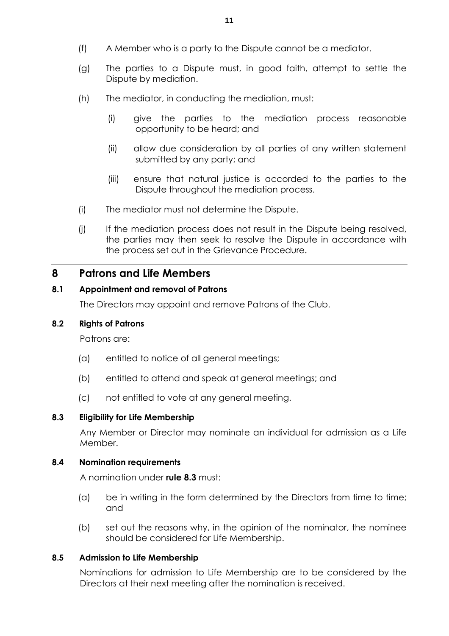- (f) A Member who is a party to the Dispute cannot be a mediator.
- (g) The parties to a Dispute must, in good faith, attempt to settle the Dispute by mediation.
- (h) The mediator, in conducting the mediation, must:
	- (i) give the parties to the mediation process reasonable opportunity to be heard; and
	- (ii) allow due consideration by all parties of any written statement submitted by any party; and
	- (iii) ensure that natural justice is accorded to the parties to the Dispute throughout the mediation process.
- (i) The mediator must not determine the Dispute.
- (j) If the mediation process does not result in the Dispute being resolved, the parties may then seek to resolve the Dispute in accordance with the process set out in the Grievance Procedure.

## **8 Patrons and Life Members**

## **8.1 Appointment and removal of Patrons**

The Directors may appoint and remove Patrons of the Club.

#### **8.2 Rights of Patrons**

Patrons are:

- (a) entitled to notice of all general meetings;
- (b) entitled to attend and speak at general meetings; and
- (c) not entitled to vote at any general meeting.

#### **8.3 Eligibility for Life Membership**

Any Member or Director may nominate an individual for admission as a Life Member.

#### **8.4 Nomination requirements**

A nomination under **rule 8.3** must:

- (a) be in writing in the form determined by the Directors from time to time; and
- (b) set out the reasons why, in the opinion of the nominator, the nominee should be considered for Life Membership.

#### **8.5 Admission to Life Membership**

Nominations for admission to Life Membership are to be considered by the Directors at their next meeting after the nomination is received.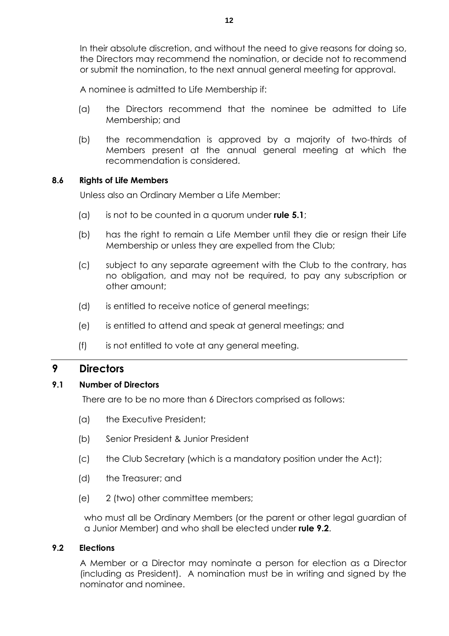In their absolute discretion, and without the need to give reasons for doing so, the Directors may recommend the nomination, or decide not to recommend or submit the nomination, to the next annual general meeting for approval.

A nominee is admitted to Life Membership if:

- (a) the Directors recommend that the nominee be admitted to Life Membership; and
- (b) the recommendation is approved by a majority of two-thirds of Members present at the annual general meeting at which the recommendation is considered.

#### **8.6 Rights of Life Members**

Unless also an Ordinary Member a Life Member:

- (a) is not to be counted in a quorum under **rule 5.1**;
- (b) has the right to remain a Life Member until they die or resign their Life Membership or unless they are expelled from the Club;
- (c) subject to any separate agreement with the Club to the contrary, has no obligation, and may not be required, to pay any subscription or other amount;
- (d) is entitled to receive notice of general meetings;
- (e) is entitled to attend and speak at general meetings; and
- (f) is not entitled to vote at any general meeting.

## **9 Directors**

#### **9.1 Number of Directors**

There are to be no more than 6 Directors comprised as follows:

- (a) the Executive President;
- (b) Senior President & Junior President
- (c) the Club Secretary (which is a mandatory position under the Act);
- (d) the Treasurer; and
- (e) 2 (two) other committee members;

who must all be Ordinary Members (or the parent or other legal guardian of a Junior Member) and who shall be elected under **rule 9.2**.

#### **9.2 Elections**

A Member or a Director may nominate a person for election as a Director (including as President). A nomination must be in writing and signed by the nominator and nominee.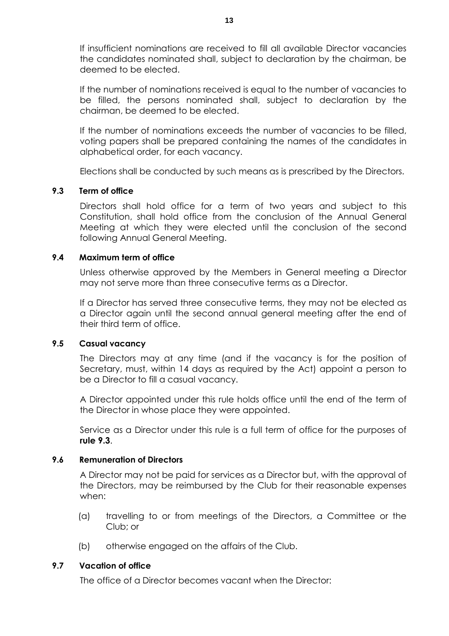If insufficient nominations are received to fill all available Director vacancies the candidates nominated shall, subject to declaration by the chairman, be deemed to be elected.

If the number of nominations received is equal to the number of vacancies to be filled, the persons nominated shall, subject to declaration by the chairman, be deemed to be elected.

If the number of nominations exceeds the number of vacancies to be filled, voting papers shall be prepared containing the names of the candidates in alphabetical order, for each vacancy.

Elections shall be conducted by such means as is prescribed by the Directors.

#### **9.3 Term of office**

Directors shall hold office for a term of two years and subject to this Constitution, shall hold office from the conclusion of the Annual General Meeting at which they were elected until the conclusion of the second following Annual General Meeting.

#### **9.4 Maximum term of office**

Unless otherwise approved by the Members in General meeting a Director may not serve more than three consecutive terms as a Director.

If a Director has served three consecutive terms, they may not be elected as a Director again until the second annual general meeting after the end of their third term of office.

#### **9.5 Casual vacancy**

The Directors may at any time (and if the vacancy is for the position of Secretary, must, within 14 days as required by the Act) appoint a person to be a Director to fill a casual vacancy.

A Director appointed under this rule holds office until the end of the term of the Director in whose place they were appointed.

Service as a Director under this rule is a full term of office for the purposes of **rule 9.3**.

#### **9.6 Remuneration of Directors**

A Director may not be paid for services as a Director but, with the approval of the Directors, may be reimbursed by the Club for their reasonable expenses when:

- (a) travelling to or from meetings of the Directors, a Committee or the Club; or
- (b) otherwise engaged on the affairs of the Club.

#### **9.7 Vacation of office**

The office of a Director becomes vacant when the Director: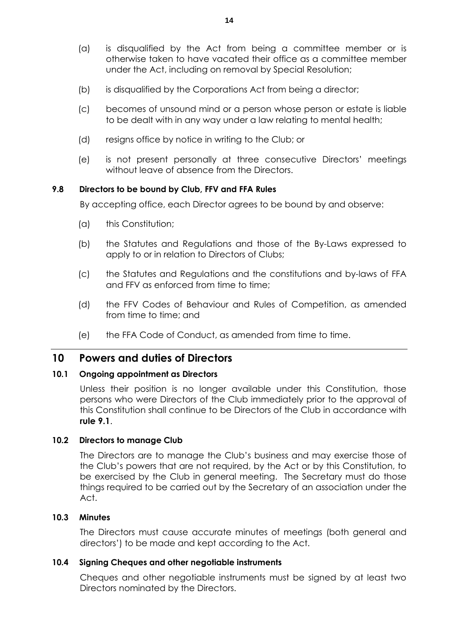- (a) is disqualified by the Act from being a committee member or is otherwise taken to have vacated their office as a committee member under the Act, including on removal by Special Resolution;
- (b) is disqualified by the Corporations Act from being a director;
- (c) becomes of unsound mind or a person whose person or estate is liable to be dealt with in any way under a law relating to mental health;
- (d) resigns office by notice in writing to the Club; or
- (e) is not present personally at three consecutive Directors' meetings without leave of absence from the Directors.

#### **9.8 Directors to be bound by Club, FFV and FFA Rules**

By accepting office, each Director agrees to be bound by and observe:

- (a) this Constitution;
- (b) the Statutes and Regulations and those of the By-Laws expressed to apply to or in relation to Directors of Clubs;
- (c) the Statutes and Regulations and the constitutions and by-laws of FFA and FFV as enforced from time to time;
- (d) the FFV Codes of Behaviour and Rules of Competition, as amended from time to time; and
- (e) the FFA Code of Conduct, as amended from time to time.

## **10 Powers and duties of Directors**

#### **10.1 Ongoing appointment as Directors**

Unless their position is no longer available under this Constitution, those persons who were Directors of the Club immediately prior to the approval of this Constitution shall continue to be Directors of the Club in accordance with **rule 9.1**.

#### **10.2 Directors to manage Club**

The Directors are to manage the Club's business and may exercise those of the Club's powers that are not required, by the Act or by this Constitution, to be exercised by the Club in general meeting. The Secretary must do those things required to be carried out by the Secretary of an association under the Act.

#### **10.3 Minutes**

The Directors must cause accurate minutes of meetings (both general and directors') to be made and kept according to the Act.

#### **10.4 Signing Cheques and other negotiable instruments**

Cheques and other negotiable instruments must be signed by at least two Directors nominated by the Directors.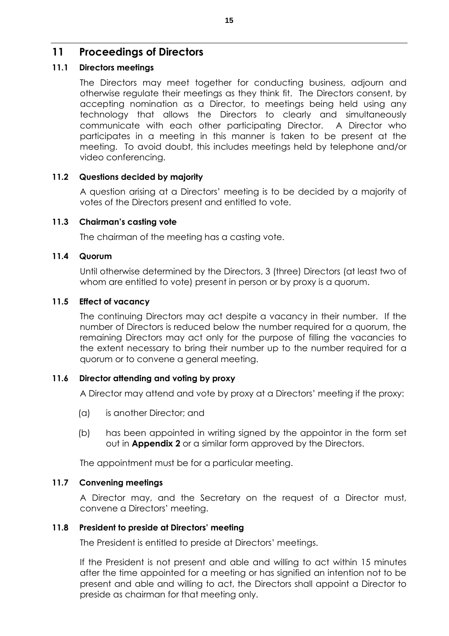## **11 Proceedings of Directors**

## **11.1 Directors meetings**

The Directors may meet together for conducting business, adjourn and otherwise regulate their meetings as they think fit. The Directors consent, by accepting nomination as a Director, to meetings being held using any technology that allows the Directors to clearly and simultaneously communicate with each other participating Director. A Director who participates in a meeting in this manner is taken to be present at the meeting. To avoid doubt, this includes meetings held by telephone and/or video conferencing.

## **11.2 Questions decided by majority**

A question arising at a Directors' meeting is to be decided by a majority of votes of the Directors present and entitled to vote.

## **11.3 Chairman's casting vote**

The chairman of the meeting has a casting vote.

## **11.4 Quorum**

Until otherwise determined by the Directors, 3 (three) Directors (at least two of whom are entitled to vote) present in person or by proxy is a quorum.

## **11.5 Effect of vacancy**

The continuing Directors may act despite a vacancy in their number. If the number of Directors is reduced below the number required for a quorum, the remaining Directors may act only for the purpose of filling the vacancies to the extent necessary to bring their number up to the number required for a quorum or to convene a general meeting.

## **11.6 Director attending and voting by proxy**

A Director may attend and vote by proxy at a Directors' meeting if the proxy:

- (a) is another Director; and
- (b) has been appointed in writing signed by the appointor in the form set out in **Appendix 2** or a similar form approved by the Directors.

The appointment must be for a particular meeting.

## **11.7 Convening meetings**

A Director may, and the Secretary on the request of a Director must, convene a Directors' meeting.

## **11.8 President to preside at Directors' meeting**

The President is entitled to preside at Directors' meetings.

If the President is not present and able and willing to act within 15 minutes after the time appointed for a meeting or has signified an intention not to be present and able and willing to act, the Directors shall appoint a Director to preside as chairman for that meeting only.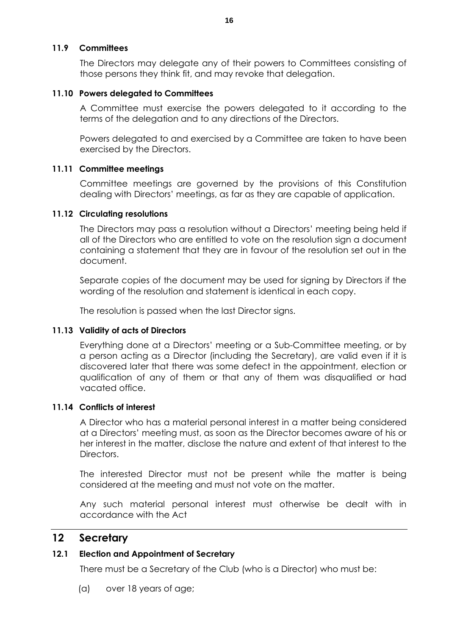### **11.9 Committees**

The Directors may delegate any of their powers to Committees consisting of those persons they think fit, and may revoke that delegation.

### **11.10 Powers delegated to Committees**

A Committee must exercise the powers delegated to it according to the terms of the delegation and to any directions of the Directors.

Powers delegated to and exercised by a Committee are taken to have been exercised by the Directors.

#### **11.11 Committee meetings**

Committee meetings are governed by the provisions of this Constitution dealing with Directors' meetings, as far as they are capable of application.

#### **11.12 Circulating resolutions**

The Directors may pass a resolution without a Directors' meeting being held if all of the Directors who are entitled to vote on the resolution sign a document containing a statement that they are in favour of the resolution set out in the document.

Separate copies of the document may be used for signing by Directors if the wording of the resolution and statement is identical in each copy.

The resolution is passed when the last Director signs.

## **11.13 Validity of acts of Directors**

Everything done at a Directors' meeting or a Sub-Committee meeting, or by a person acting as a Director (including the Secretary), are valid even if it is discovered later that there was some defect in the appointment, election or qualification of any of them or that any of them was disqualified or had vacated office.

## **11.14 Conflicts of interest**

A Director who has a material personal interest in a matter being considered at a Directors' meeting must, as soon as the Director becomes aware of his or her interest in the matter, disclose the nature and extent of that interest to the Directors.

The interested Director must not be present while the matter is being considered at the meeting and must not vote on the matter.

Any such material personal interest must otherwise be dealt with in accordance with the Act

## **12 Secretary**

## **12.1 Election and Appointment of Secretary**

There must be a Secretary of the Club (who is a Director) who must be:

(a) over 18 years of age;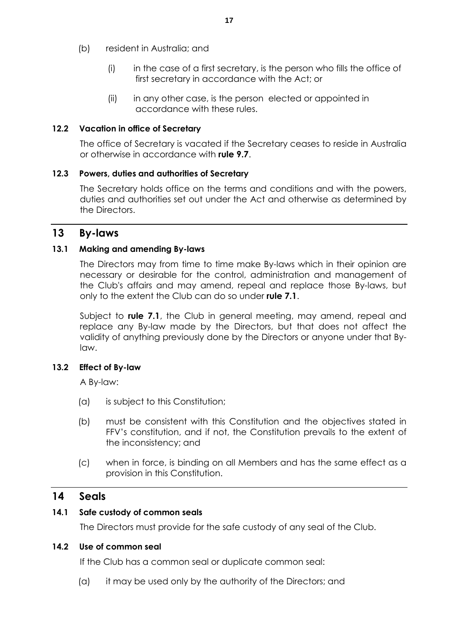- (b) resident in Australia; and
	- (i) in the case of a first secretary, is the person who fills the office of first secretary in accordance with the Act; or
	- (ii) in any other case, is the person elected or appointed in accordance with these rules.

## **12.2 Vacation in office of Secretary**

The office of Secretary is vacated if the Secretary ceases to reside in Australia or otherwise in accordance with **rule 9.7**.

## **12.3 Powers, duties and authorities of Secretary**

The Secretary holds office on the terms and conditions and with the powers, duties and authorities set out under the Act and otherwise as determined by the Directors.

## **13 By-laws**

## **13.1 Making and amending By-laws**

The Directors may from time to time make By-laws which in their opinion are necessary or desirable for the control, administration and management of the Club's affairs and may amend, repeal and replace those By-laws, but only to the extent the Club can do so under **rule 7.1**.

Subject to **rule 7.1**, the Club in general meeting, may amend, repeal and replace any By-law made by the Directors, but that does not affect the validity of anything previously done by the Directors or anyone under that Bylaw.

## **13.2 Effect of By-law**

A By-law:

- (a) is subject to this Constitution;
- (b) must be consistent with this Constitution and the objectives stated in FFV's constitution, and if not, the Constitution prevails to the extent of the inconsistency; and
- (c) when in force, is binding on all Members and has the same effect as a provision in this Constitution.

## **14 Seals**

## **14.1 Safe custody of common seals**

The Directors must provide for the safe custody of any seal of the Club.

## **14.2 Use of common seal**

If the Club has a common seal or duplicate common seal:

(a) it may be used only by the authority of the Directors; and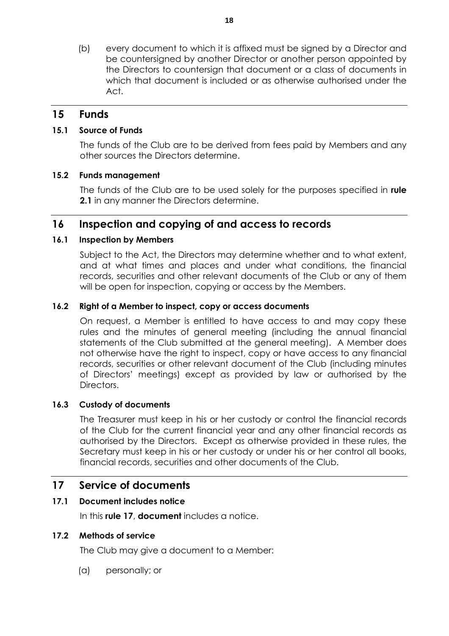(b) every document to which it is affixed must be signed by a Director and be countersigned by another Director or another person appointed by the Directors to countersign that document or a class of documents in which that document is included or as otherwise authorised under the Act.

## **15 Funds**

## **15.1 Source of Funds**

The funds of the Club are to be derived from fees paid by Members and any other sources the Directors determine.

## **15.2 Funds management**

The funds of the Club are to be used solely for the purposes specified in **rule 2.1** in any manner the Directors determine.

## **16 Inspection and copying of and access to records**

## **16.1 Inspection by Members**

Subject to the Act, the Directors may determine whether and to what extent, and at what times and places and under what conditions, the financial records, securities and other relevant documents of the Club or any of them will be open for inspection, copying or access by the Members.

## **16.2 Right of a Member to inspect, copy or access documents**

On request, a Member is entitled to have access to and may copy these rules and the minutes of general meeting (including the annual financial statements of the Club submitted at the general meeting). A Member does not otherwise have the right to inspect, copy or have access to any financial records, securities or other relevant document of the Club (including minutes of Directors' meetings) except as provided by law or authorised by the Directors.

## **16.3 Custody of documents**

The Treasurer must keep in his or her custody or control the financial records of the Club for the current financial year and any other financial records as authorised by the Directors. Except as otherwise provided in these rules, the Secretary must keep in his or her custody or under his or her control all books, financial records, securities and other documents of the Club.

## **17 Service of documents**

## **17.1 Document includes notice**

In this **rule 17**, **document** includes a notice.

## **17.2 Methods of service**

The Club may give a document to a Member:

(a) personally; or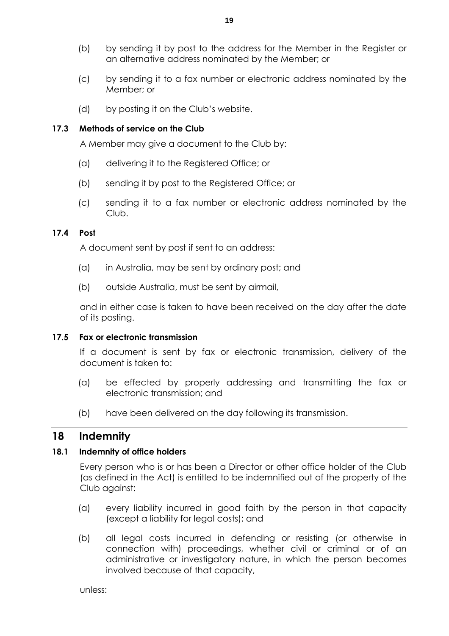- (b) by sending it by post to the address for the Member in the Register or an alternative address nominated by the Member; or
- (c) by sending it to a fax number or electronic address nominated by the Member; or
- (d) by posting it on the Club's website.

## **17.3 Methods of service on the Club**

A Member may give a document to the Club by:

- (a) delivering it to the Registered Office; or
- (b) sending it by post to the Registered Office; or
- (c) sending it to a fax number or electronic address nominated by the Club.

## **17.4 Post**

A document sent by post if sent to an address:

- (a) in Australia, may be sent by ordinary post; and
- (b) outside Australia, must be sent by airmail,

and in either case is taken to have been received on the day after the date of its posting.

## **17.5 Fax or electronic transmission**

If a document is sent by fax or electronic transmission, delivery of the document is taken to:

- (a) be effected by properly addressing and transmitting the fax or electronic transmission; and
- (b) have been delivered on the day following its transmission.

## **18 Indemnity**

## **18.1 Indemnity of office holders**

Every person who is or has been a Director or other office holder of the Club (as defined in the Act) is entitled to be indemnified out of the property of the Club against:

- (a) every liability incurred in good faith by the person in that capacity (except a liability for legal costs); and
- (b) all legal costs incurred in defending or resisting (or otherwise in connection with) proceedings, whether civil or criminal or of an administrative or investigatory nature, in which the person becomes involved because of that capacity,

unless: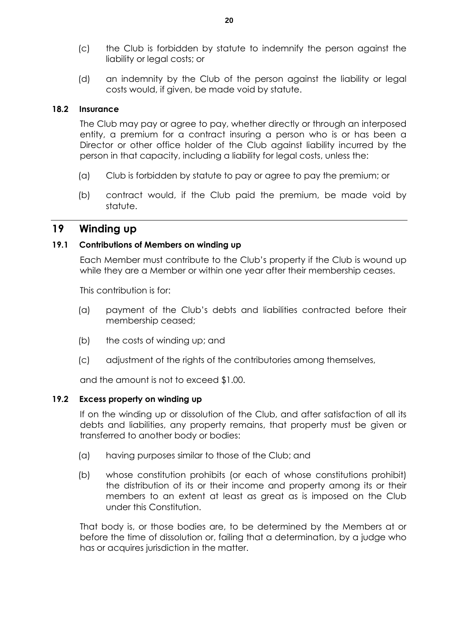- (c) the Club is forbidden by statute to indemnify the person against the liability or legal costs; or
- (d) an indemnity by the Club of the person against the liability or legal costs would, if given, be made void by statute.

### **18.2 Insurance**

The Club may pay or agree to pay, whether directly or through an interposed entity, a premium for a contract insuring a person who is or has been a Director or other office holder of the Club against liability incurred by the person in that capacity, including a liability for legal costs, unless the:

- (a) Club is forbidden by statute to pay or agree to pay the premium; or
- (b) contract would, if the Club paid the premium, be made void by statute.

## **19 Winding up**

#### **19.1 Contributions of Members on winding up**

Each Member must contribute to the Club's property if the Club is wound up while they are a Member or within one year after their membership ceases.

This contribution is for:

- (a) payment of the Club's debts and liabilities contracted before their membership ceased;
- (b) the costs of winding up; and
- (c) adjustment of the rights of the contributories among themselves,

and the amount is not to exceed \$1.00.

#### **19.2 Excess property on winding up**

If on the winding up or dissolution of the Club, and after satisfaction of all its debts and liabilities, any property remains, that property must be given or transferred to another body or bodies:

- (a) having purposes similar to those of the Club; and
- (b) whose constitution prohibits (or each of whose constitutions prohibit) the distribution of its or their income and property among its or their members to an extent at least as great as is imposed on the Club under this Constitution.

That body is, or those bodies are, to be determined by the Members at or before the time of dissolution or, failing that a determination, by a judge who has or acquires jurisdiction in the matter.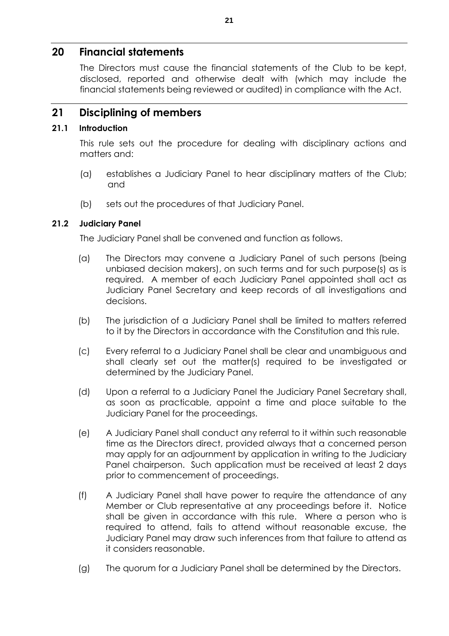## **20 Financial statements**

The Directors must cause the financial statements of the Club to be kept, disclosed, reported and otherwise dealt with (which may include the financial statements being reviewed or audited) in compliance with the Act.

## **21 Disciplining of members**

### **21.1 Introduction**

This rule sets out the procedure for dealing with disciplinary actions and matters and:

- (a) establishes a Judiciary Panel to hear disciplinary matters of the Club; and
- (b) sets out the procedures of that Judiciary Panel.

## **21.2 Judiciary Panel**

The Judiciary Panel shall be convened and function as follows.

- (a) The Directors may convene a Judiciary Panel of such persons (being unbiased decision makers), on such terms and for such purpose(s) as is required. A member of each Judiciary Panel appointed shall act as Judiciary Panel Secretary and keep records of all investigations and decisions.
- (b) The jurisdiction of a Judiciary Panel shall be limited to matters referred to it by the Directors in accordance with the Constitution and this rule.
- (c) Every referral to a Judiciary Panel shall be clear and unambiguous and shall clearly set out the matter(s) required to be investigated or determined by the Judiciary Panel.
- (d) Upon a referral to a Judiciary Panel the Judiciary Panel Secretary shall, as soon as practicable, appoint a time and place suitable to the Judiciary Panel for the proceedings.
- (e) A Judiciary Panel shall conduct any referral to it within such reasonable time as the Directors direct, provided always that a concerned person may apply for an adjournment by application in writing to the Judiciary Panel chairperson. Such application must be received at least 2 days prior to commencement of proceedings.
- (f) A Judiciary Panel shall have power to require the attendance of any Member or Club representative at any proceedings before it. Notice shall be given in accordance with this rule. Where a person who is required to attend, fails to attend without reasonable excuse, the Judiciary Panel may draw such inferences from that failure to attend as it considers reasonable.
- (g) The quorum for a Judiciary Panel shall be determined by the Directors.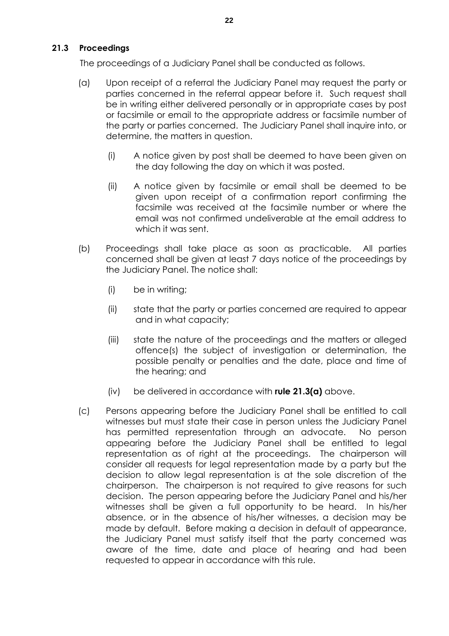## **21.3 Proceedings**

The proceedings of a Judiciary Panel shall be conducted as follows.

- (a) Upon receipt of a referral the Judiciary Panel may request the party or parties concerned in the referral appear before it. Such request shall be in writing either delivered personally or in appropriate cases by post or facsimile or email to the appropriate address or facsimile number of the party or parties concerned. The Judiciary Panel shall inquire into, or determine, the matters in question.
	- (i) A notice given by post shall be deemed to have been given on the day following the day on which it was posted.
	- (ii) A notice given by facsimile or email shall be deemed to be given upon receipt of a confirmation report confirming the facsimile was received at the facsimile number or where the email was not confirmed undeliverable at the email address to which it was sent.
- (b) Proceedings shall take place as soon as practicable. All parties concerned shall be given at least 7 days notice of the proceedings by the Judiciary Panel. The notice shall:
	- (i) be in writing;
	- (ii) state that the party or parties concerned are required to appear and in what capacity;
	- (iii) state the nature of the proceedings and the matters or alleged offence(s) the subject of investigation or determination, the possible penalty or penalties and the date, place and time of the hearing; and
	- (iv) be delivered in accordance with **rule 21.3(a)** above.
- (c) Persons appearing before the Judiciary Panel shall be entitled to call witnesses but must state their case in person unless the Judiciary Panel has permitted representation through an advocate. No person appearing before the Judiciary Panel shall be entitled to legal representation as of right at the proceedings. The chairperson will consider all requests for legal representation made by a party but the decision to allow legal representation is at the sole discretion of the chairperson. The chairperson is not required to give reasons for such decision. The person appearing before the Judiciary Panel and his/her witnesses shall be given a full opportunity to be heard. In his/her absence, or in the absence of his/her witnesses, a decision may be made by default. Before making a decision in default of appearance, the Judiciary Panel must satisfy itself that the party concerned was aware of the time, date and place of hearing and had been requested to appear in accordance with this rule.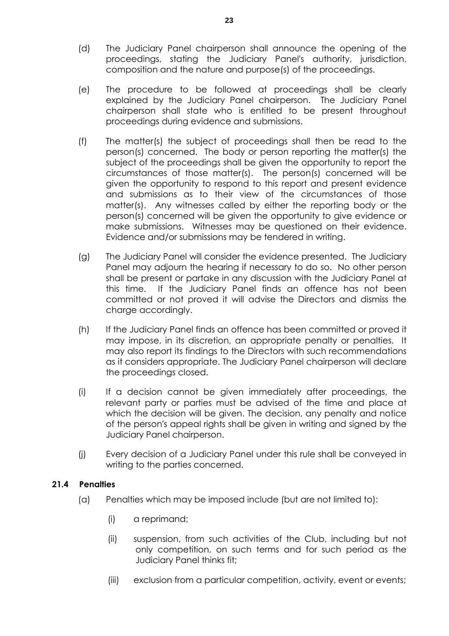- (d) The Judiciary Panel chairperson shall announce the opening of the proceedings, stating the Judiciary Panel's authority, jurisdiction, composition and the nature and purpose(s) of the proceedings.
- (e) The procedure to be followed at proceedings shall be clearly explained by the Judiciary Panel chairperson. The Judiciary Panel chairperson shall state who is entitled to be present throughout proceedings during evidence and submissions.
- (f) The matter(s) the subject of proceedings shall then be read to the person(s) concerned. The body or person reporting the matter(s) the subject of the proceedings shall be given the opportunity to report the circumstances of those matter(s). The person(s) concerned will be given the opportunity to respond to this report and present evidence and submissions as to their view of the circumstances of those matter(s). Any witnesses called by either the reporting body or the person(s) concerned will be given the opportunity to give evidence or make submissions. Witnesses may be questioned on their evidence. Evidence and/or submissions may be tendered in writing.
- (g) The Judiciary Panel will consider the evidence presented. The Judiciary Panel may adjourn the hearing if necessary to do so. No other person shall be present or partake in any discussion with the Judiciary Panel at this time. If the Judiciary Panel finds an offence has not been committed or not proved it will advise the Directors and dismiss the charge accordingly.
- (h) If the Judiciary Panel finds an offence has been committed or proved it may impose, in its discretion, an appropriate penalty or penalties. It may also report its findings to the Directors with such recommendations as it considers appropriate. The Judiciary Panel chairperson will declare the proceedings closed.
- (i) If a decision cannot be given immediately after proceedings, the relevant party or parties must be advised of the time and place at which the decision will be given. The decision, any penalty and notice of the person's appeal rights shall be given in writing and signed by the Judiciary Panel chairperson.
- (j) Every decision of a Judiciary Panel under this rule shall be conveyed in writing to the parties concerned.

## **21.4 Penalties**

- (a) Penalties which may be imposed include (but are not limited to):
	- (i) a reprimand;
	- (ii) suspension, from such activities of the Club, including but not only competition, on such terms and for such period as the Judiciary Panel thinks fit;
	- (iii) exclusion from a particular competition, activity, event or events;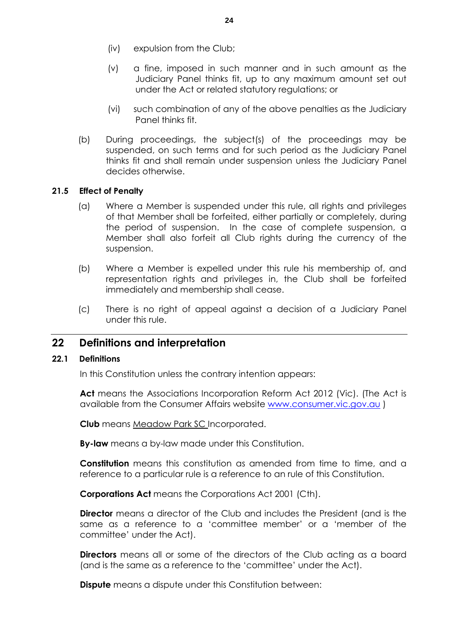- (iv) expulsion from the Club;
- (v) a fine, imposed in such manner and in such amount as the Judiciary Panel thinks fit, up to any maximum amount set out under the Act or related statutory regulations; or
- (vi) such combination of any of the above penalties as the Judiciary Panel thinks fit.
- (b) During proceedings, the subject(s) of the proceedings may be suspended, on such terms and for such period as the Judiciary Panel thinks fit and shall remain under suspension unless the Judiciary Panel decides otherwise.

## **21.5 Effect of Penalty**

- (a) Where a Member is suspended under this rule, all rights and privileges of that Member shall be forfeited, either partially or completely, during the period of suspension. In the case of complete suspension, a Member shall also forfeit all Club rights during the currency of the suspension.
- (b) Where a Member is expelled under this rule his membership of, and representation rights and privileges in, the Club shall be forfeited immediately and membership shall cease.
- (c) There is no right of appeal against a decision of a Judiciary Panel under this rule.

## **22 Definitions and interpretation**

#### **22.1 Definitions**

In this Constitution unless the contrary intention appears:

**Act** means the Associations Incorporation Reform Act 2012 (Vic). (The Act is available from the Consumer Affairs website www.consumer.vic.gov.au )

**Club** means Meadow Park SC Incorporated.

**By-law** means a by-law made under this Constitution.

**Constitution** means this constitution as amended from time to time, and a reference to a particular rule is a reference to an rule of this Constitution.

**Corporations Act** means the Corporations Act 2001 (Cth).

**Director** means a director of the Club and includes the President (and is the same as a reference to a 'committee member' or a 'member of the committee' under the Act).

**Directors** means all or some of the directors of the Club acting as a board (and is the same as a reference to the 'committee' under the Act).

**Dispute** means a dispute under this Constitution between: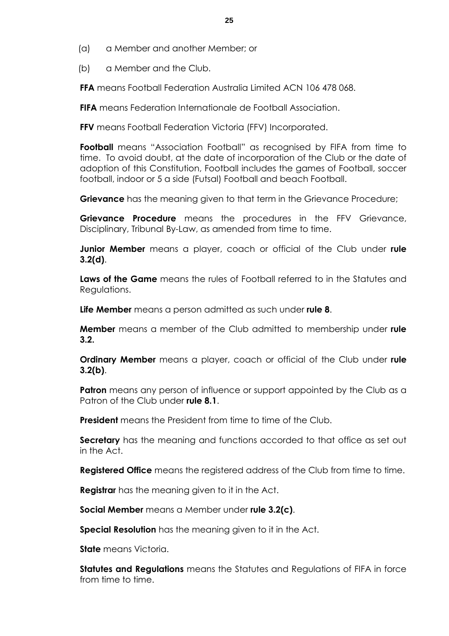- (a) a Member and another Member; or
- (b) a Member and the Club.

**FFA** means Football Federation Australia Limited ACN 106 478 068.

**FIFA** means Federation Internationale de Football Association.

**FFV** means Football Federation Victoria (FFV) Incorporated.

**Football** means "Association Football" as recognised by FIFA from time to time. To avoid doubt, at the date of incorporation of the Club or the date of adoption of this Constitution, Football includes the games of Football, soccer football, indoor or 5 a side (Futsal) Football and beach Football.

**Grievance** has the meaning given to that term in the Grievance Procedure;

**Grievance Procedure** means the procedures in the FFV Grievance, Disciplinary, Tribunal By-Law, as amended from time to time.

**Junior Member** means a player, coach or official of the Club under **rule 3.2(d)**.

**Laws of the Game** means the rules of Football referred to in the Statutes and Regulations.

**Life Member** means a person admitted as such under **rule 8**.

**Member** means a member of the Club admitted to membership under **rule 3.2.**

**Ordinary Member** means a player, coach or official of the Club under **rule 3.2(b)**.

**Patron** means any person of influence or support appointed by the Club as a Patron of the Club under **rule 8.1**.

**President** means the President from time to time of the Club.

**Secretary** has the meaning and functions accorded to that office as set out in the Act.

**Registered Office** means the registered address of the Club from time to time.

**Registrar** has the meaning given to it in the Act.

**Social Member** means a Member under **rule 3.2(c)**.

**Special Resolution** has the meaning given to it in the Act.

**State** means Victoria.

**Statutes and Regulations** means the Statutes and Regulations of FIFA in force from time to time.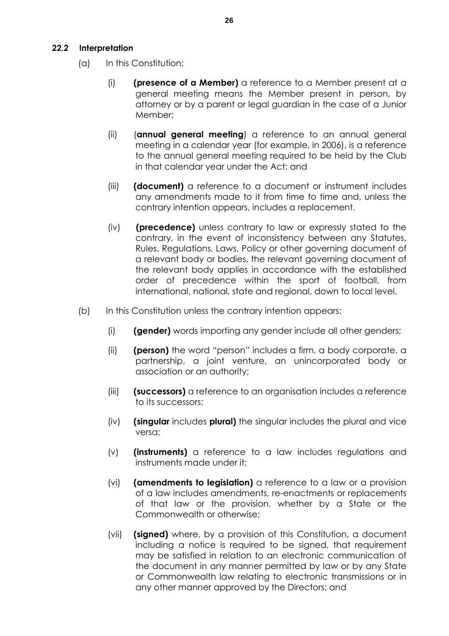## **22.2 Interpretation**

- (a) In this Constitution:
	- (i) **(presence of a Member)** a reference to a Member present at a general meeting means the Member present in person, by attorney or by a parent or legal guardian in the case of a Junior Member;
	- (ii) (**annual general meeting**) a reference to an annual general meeting in a calendar year (for example, in 2006), is a reference to the annual general meeting required to be held by the Club in that calendar year under the Act; and
	- (iii) **(document)** a reference to a document or instrument includes any amendments made to it from time to time and, unless the contrary intention appears, includes a replacement.
	- (iv) **(precedence)** unless contrary to law or expressly stated to the contrary, in the event of inconsistency between any Statutes, Rules, Regulations, Laws, Policy or other governing document of a relevant body or bodies, the relevant governing document of the relevant body applies in accordance with the established order of precedence within the sport of football, from international, national, state and regional, down to local level.
- (b) In this Constitution unless the contrary intention appears:
	- (i) **(gender)** words importing any gender include all other genders;
	- (ii) **(person)** the word "person" includes a firm, a body corporate, a partnership, a joint venture, an unincorporated body or association or an authority;
	- (iii) **(successors)** a reference to an organisation includes a reference to its successors;
	- (iv) **(singular** includes **plural)** the singular includes the plural and vice versa;
	- (v) **(instruments)** a reference to a law includes regulations and instruments made under it;
	- (vi) **(amendments to legislation)** a reference to a law or a provision of a law includes amendments, re-enactments or replacements of that law or the provision, whether by a State or the Commonwealth or otherwise;
	- (vii) **(signed)** where, by a provision of this Constitution, a document including a notice is required to be signed, that requirement may be satisfied in relation to an electronic communication of the document in any manner permitted by law or by any State or Commonwealth law relating to electronic transmissions or in any other manner approved by the Directors; and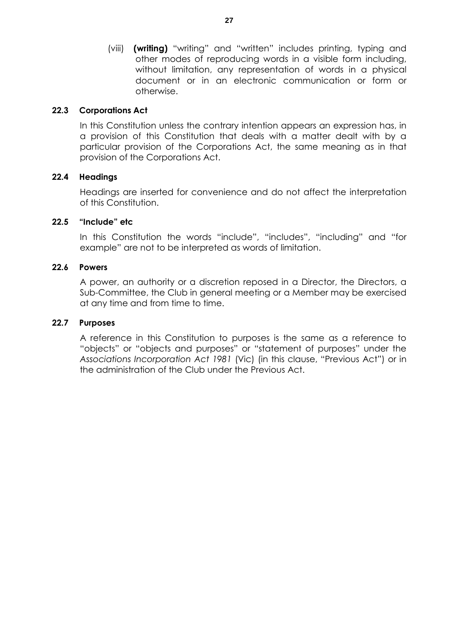(viii) **(writing)** "writing" and "written" includes printing, typing and other modes of reproducing words in a visible form including, without limitation, any representation of words in a physical document or in an electronic communication or form or otherwise.

## **22.3 Corporations Act**

In this Constitution unless the contrary intention appears an expression has, in a provision of this Constitution that deals with a matter dealt with by a particular provision of the Corporations Act, the same meaning as in that provision of the Corporations Act.

## **22.4 Headings**

Headings are inserted for convenience and do not affect the interpretation of this Constitution.

#### **22.5 "Include" etc**

In this Constitution the words "include", "includes", "including" and "for example" are not to be interpreted as words of limitation.

#### **22.6 Powers**

A power, an authority or a discretion reposed in a Director, the Directors, a Sub-Committee, the Club in general meeting or a Member may be exercised at any time and from time to time.

#### **22.7 Purposes**

A reference in this Constitution to purposes is the same as a reference to "objects" or "objects and purposes" or "statement of purposes" under the *Associations Incorporation Act 1981* (Vic) (in this clause, "Previous Act") or in the administration of the Club under the Previous Act.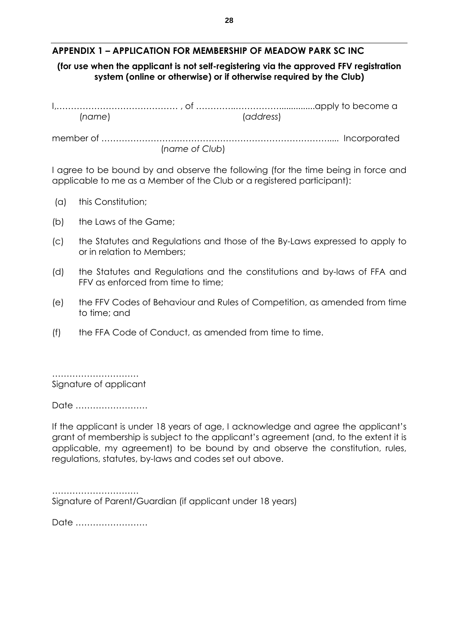## **APPENDIX 1 – APPLICATION FOR MEMBERSHIP OF MEADOW PARK SC INC**

## **(for use when the applicant is not self-registering via the approved FFV registration system (online or otherwise) or if otherwise required by the Club)**

| (name) | (address)      |  |
|--------|----------------|--|
|        |                |  |
|        | (name of Club) |  |

I agree to be bound by and observe the following (for the time being in force and applicable to me as a Member of the Club or a registered participant):

- (a) this Constitution;
- (b) the Laws of the Game;
- (c) the Statutes and Regulations and those of the By-Laws expressed to apply to or in relation to Members;
- (d) the Statutes and Regulations and the constitutions and by-laws of FFA and FFV as enforced from time to time;
- (e) the FFV Codes of Behaviour and Rules of Competition, as amended from time to time; and
- (f) the FFA Code of Conduct, as amended from time to time.

……………………………… Signature of applicant

Date …………………….

If the applicant is under 18 years of age, I acknowledge and agree the applicant's grant of membership is subject to the applicant's agreement (and, to the extent it is applicable, my agreement) to be bound by and observe the constitution, rules, regulations, statutes, by-laws and codes set out above.

……………………………………… Signature of Parent/Guardian (if applicant under 18 years)

Date …………………….